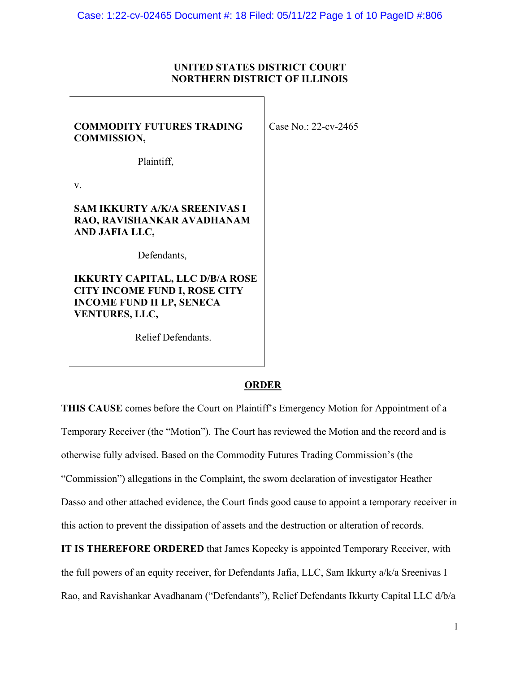# **UNITED STATES DISTRICT COURT NORTHERN DISTRICT OF ILLINOIS**

| <b>COMMODITY FUTURES TRADING</b><br><b>COMMISSION,</b>                                                                                      | Case No.: 22-cv-2465 |
|---------------------------------------------------------------------------------------------------------------------------------------------|----------------------|
| Plaintiff,                                                                                                                                  |                      |
| V.                                                                                                                                          |                      |
| SAM IKKURTY A/K/A SREENIVAS I<br>RAO, RAVISHANKAR AVADHANAM<br>AND JAFIA LLC,                                                               |                      |
| Defendants,                                                                                                                                 |                      |
| <b>IKKURTY CAPITAL, LLC D/B/A ROSE</b><br><b>CITY INCOME FUND I, ROSE CITY</b><br><b>INCOME FUND II LP, SENECA</b><br><b>VENTURES, LLC,</b> |                      |

Relief Defendants.

# **ORDER**

**THIS CAUSE** comes before the Court on Plaintiff's Emergency Motion for Appointment of a Temporary Receiver (the "Motion"). The Court has reviewed the Motion and the record and is otherwise fully advised. Based on the Commodity Futures Trading Commission's (the "Commission") allegations in the Complaint, the sworn declaration of investigator Heather Dasso and other attached evidence, the Court finds good cause to appoint a temporary receiver in this action to prevent the dissipation of assets and the destruction or alteration of records.

**IT IS THEREFORE ORDERED** that James Kopecky is appointed Temporary Receiver, with the full powers of an equity receiver, for Defendants Jafia, LLC, Sam Ikkurty a/k/a Sreenivas I Rao, and Ravishankar Avadhanam ("Defendants"), Relief Defendants Ikkurty Capital LLC d/b/a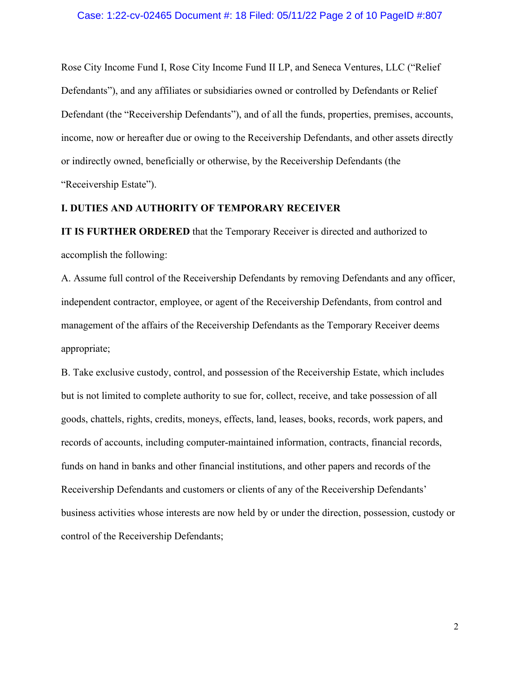### Case: 1:22-cv-02465 Document #: 18 Filed: 05/11/22 Page 2 of 10 PageID #:807

Rose City Income Fund I, Rose City Income Fund II LP, and Seneca Ventures, LLC ("Relief Defendants"), and any affiliates or subsidiaries owned or controlled by Defendants or Relief Defendant (the "Receivership Defendants"), and of all the funds, properties, premises, accounts, income, now or hereafter due or owing to the Receivership Defendants, and other assets directly or indirectly owned, beneficially or otherwise, by the Receivership Defendants (the "Receivership Estate").

## **I. DUTIES AND AUTHORITY OF TEMPORARY RECEIVER**

**IT IS FURTHER ORDERED** that the Temporary Receiver is directed and authorized to accomplish the following:

A. Assume full control of the Receivership Defendants by removing Defendants and any officer, independent contractor, employee, or agent of the Receivership Defendants, from control and management of the affairs of the Receivership Defendants as the Temporary Receiver deems appropriate;

B. Take exclusive custody, control, and possession of the Receivership Estate, which includes but is not limited to complete authority to sue for, collect, receive, and take possession of all goods, chattels, rights, credits, moneys, effects, land, leases, books, records, work papers, and records of accounts, including computer-maintained information, contracts, financial records, funds on hand in banks and other financial institutions, and other papers and records of the Receivership Defendants and customers or clients of any of the Receivership Defendants' business activities whose interests are now held by or under the direction, possession, custody or control of the Receivership Defendants;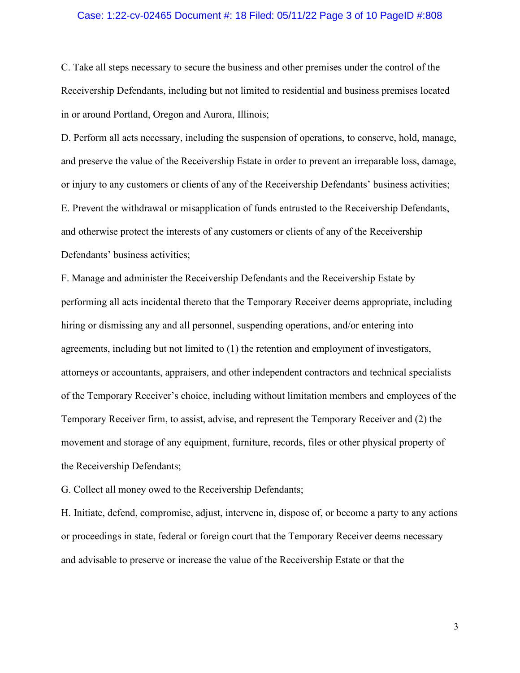### Case: 1:22-cv-02465 Document #: 18 Filed: 05/11/22 Page 3 of 10 PageID #:808

C. Take all steps necessary to secure the business and other premises under the control of the Receivership Defendants, including but not limited to residential and business premises located in or around Portland, Oregon and Aurora, Illinois;

D. Perform all acts necessary, including the suspension of operations, to conserve, hold, manage, and preserve the value of the Receivership Estate in order to prevent an irreparable loss, damage, or injury to any customers or clients of any of the Receivership Defendants' business activities; E. Prevent the withdrawal or misapplication of funds entrusted to the Receivership Defendants, and otherwise protect the interests of any customers or clients of any of the Receivership Defendants' business activities;

F. Manage and administer the Receivership Defendants and the Receivership Estate by performing all acts incidental thereto that the Temporary Receiver deems appropriate, including hiring or dismissing any and all personnel, suspending operations, and/or entering into agreements, including but not limited to (1) the retention and employment of investigators, attorneys or accountants, appraisers, and other independent contractors and technical specialists of the Temporary Receiver's choice, including without limitation members and employees of the Temporary Receiver firm, to assist, advise, and represent the Temporary Receiver and (2) the movement and storage of any equipment, furniture, records, files or other physical property of the Receivership Defendants;

G. Collect all money owed to the Receivership Defendants;

H. Initiate, defend, compromise, adjust, intervene in, dispose of, or become a party to any actions or proceedings in state, federal or foreign court that the Temporary Receiver deems necessary and advisable to preserve or increase the value of the Receivership Estate or that the

3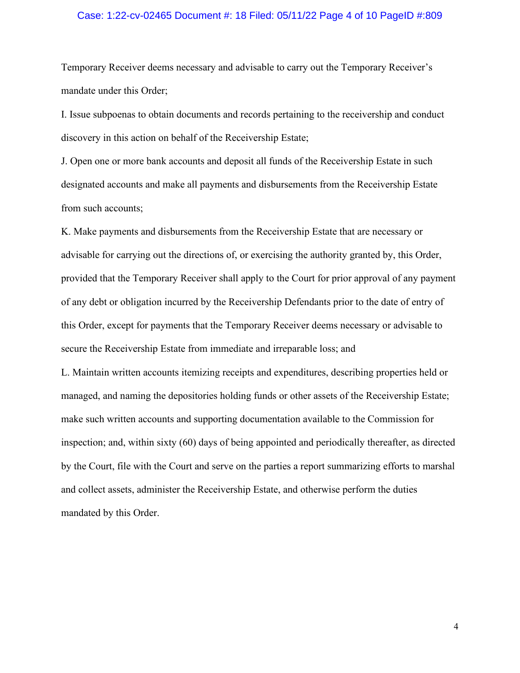### Case: 1:22-cv-02465 Document #: 18 Filed: 05/11/22 Page 4 of 10 PageID #:809

Temporary Receiver deems necessary and advisable to carry out the Temporary Receiver's mandate under this Order;

I. Issue subpoenas to obtain documents and records pertaining to the receivership and conduct discovery in this action on behalf of the Receivership Estate;

J. Open one or more bank accounts and deposit all funds of the Receivership Estate in such designated accounts and make all payments and disbursements from the Receivership Estate from such accounts;

K. Make payments and disbursements from the Receivership Estate that are necessary or advisable for carrying out the directions of, or exercising the authority granted by, this Order, provided that the Temporary Receiver shall apply to the Court for prior approval of any payment of any debt or obligation incurred by the Receivership Defendants prior to the date of entry of this Order, except for payments that the Temporary Receiver deems necessary or advisable to secure the Receivership Estate from immediate and irreparable loss; and

L. Maintain written accounts itemizing receipts and expenditures, describing properties held or managed, and naming the depositories holding funds or other assets of the Receivership Estate; make such written accounts and supporting documentation available to the Commission for inspection; and, within sixty (60) days of being appointed and periodically thereafter, as directed by the Court, file with the Court and serve on the parties a report summarizing efforts to marshal and collect assets, administer the Receivership Estate, and otherwise perform the duties mandated by this Order.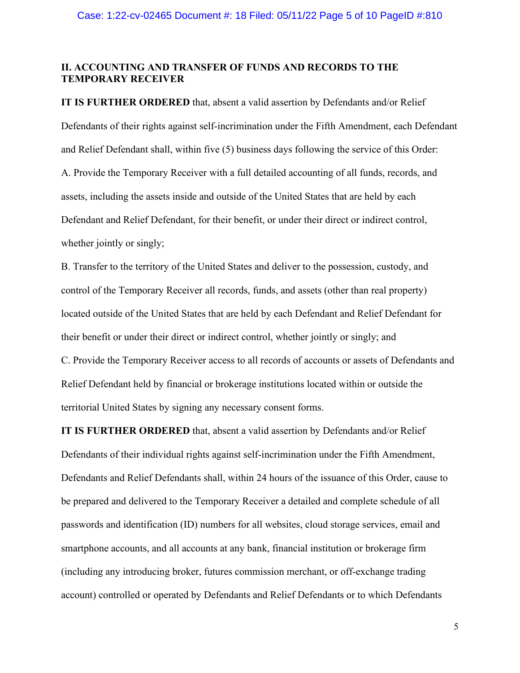## **II. ACCOUNTING AND TRANSFER OF FUNDS AND RECORDS TO THE TEMPORARY RECEIVER**

**IT IS FURTHER ORDERED** that, absent a valid assertion by Defendants and/or Relief Defendants of their rights against self-incrimination under the Fifth Amendment, each Defendant and Relief Defendant shall, within five (5) business days following the service of this Order: A. Provide the Temporary Receiver with a full detailed accounting of all funds, records, and assets, including the assets inside and outside of the United States that are held by each Defendant and Relief Defendant, for their benefit, or under their direct or indirect control, whether jointly or singly;

B. Transfer to the territory of the United States and deliver to the possession, custody, and control of the Temporary Receiver all records, funds, and assets (other than real property) located outside of the United States that are held by each Defendant and Relief Defendant for their benefit or under their direct or indirect control, whether jointly or singly; and C. Provide the Temporary Receiver access to all records of accounts or assets of Defendants and Relief Defendant held by financial or brokerage institutions located within or outside the territorial United States by signing any necessary consent forms.

**IT IS FURTHER ORDERED** that, absent a valid assertion by Defendants and/or Relief Defendants of their individual rights against self-incrimination under the Fifth Amendment, Defendants and Relief Defendants shall, within 24 hours of the issuance of this Order, cause to be prepared and delivered to the Temporary Receiver a detailed and complete schedule of all passwords and identification (ID) numbers for all websites, cloud storage services, email and smartphone accounts, and all accounts at any bank, financial institution or brokerage firm (including any introducing broker, futures commission merchant, or off-exchange trading account) controlled or operated by Defendants and Relief Defendants or to which Defendants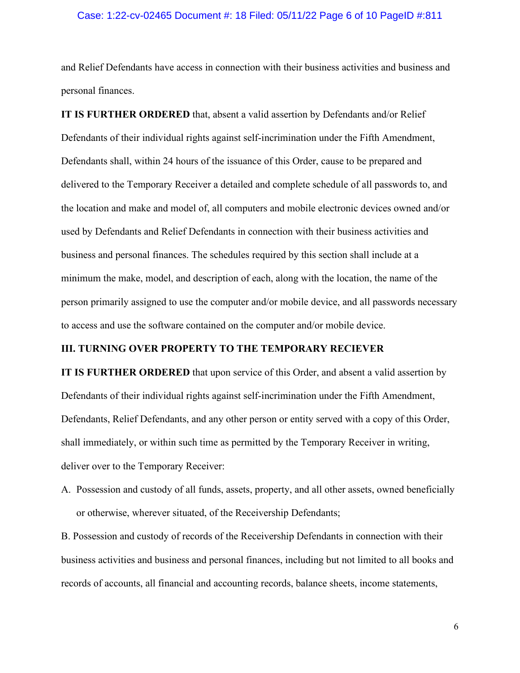### Case: 1:22-cv-02465 Document #: 18 Filed: 05/11/22 Page 6 of 10 PageID #:811

and Relief Defendants have access in connection with their business activities and business and personal finances.

**IT IS FURTHER ORDERED** that, absent a valid assertion by Defendants and/or Relief Defendants of their individual rights against self-incrimination under the Fifth Amendment, Defendants shall, within 24 hours of the issuance of this Order, cause to be prepared and delivered to the Temporary Receiver a detailed and complete schedule of all passwords to, and the location and make and model of, all computers and mobile electronic devices owned and/or used by Defendants and Relief Defendants in connection with their business activities and business and personal finances. The schedules required by this section shall include at a minimum the make, model, and description of each, along with the location, the name of the person primarily assigned to use the computer and/or mobile device, and all passwords necessary to access and use the software contained on the computer and/or mobile device.

### **III. TURNING OVER PROPERTY TO THE TEMPORARY RECIEVER**

**IT IS FURTHER ORDERED** that upon service of this Order, and absent a valid assertion by Defendants of their individual rights against self-incrimination under the Fifth Amendment, Defendants, Relief Defendants, and any other person or entity served with a copy of this Order, shall immediately, or within such time as permitted by the Temporary Receiver in writing, deliver over to the Temporary Receiver:

A. Possession and custody of all funds, assets, property, and all other assets, owned beneficially or otherwise, wherever situated, of the Receivership Defendants;

B. Possession and custody of records of the Receivership Defendants in connection with their business activities and business and personal finances, including but not limited to all books and records of accounts, all financial and accounting records, balance sheets, income statements,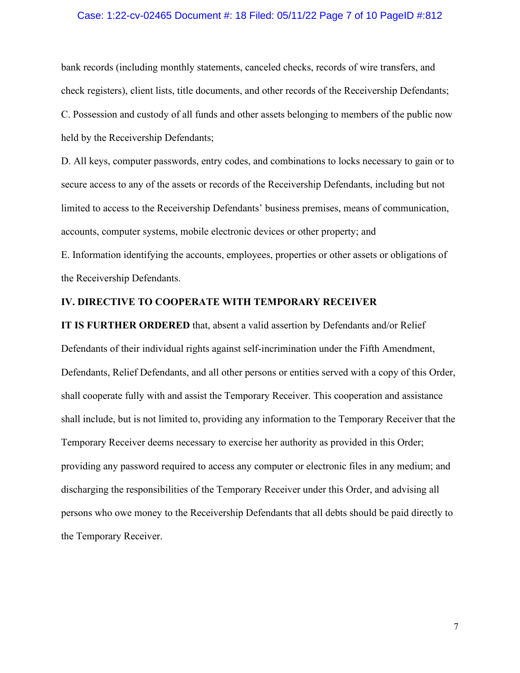### Case: 1:22-cv-02465 Document #: 18 Filed: 05/11/22 Page 7 of 10 PageID #:812

bank records (including monthly statements, canceled checks, records of wire transfers, and check registers), client lists, title documents, and other records of the Receivership Defendants; C. Possession and custody of all funds and other assets belonging to members of the public now held by the Receivership Defendants;

D. All keys, computer passwords, entry codes, and combinations to locks necessary to gain or to secure access to any of the assets or records of the Receivership Defendants, including but not limited to access to the Receivership Defendants' business premises, means of communication, accounts, computer systems, mobile electronic devices or other property; and

E. Information identifying the accounts, employees, properties or other assets or obligations of the Receivership Defendants.

### **IV. DIRECTIVE TO COOPERATE WITH TEMPORARY RECEIVER**

**IT IS FURTHER ORDERED** that, absent a valid assertion by Defendants and/or Relief Defendants of their individual rights against self-incrimination under the Fifth Amendment, Defendants, Relief Defendants, and all other persons or entities served with a copy of this Order, shall cooperate fully with and assist the Temporary Receiver. This cooperation and assistance shall include, but is not limited to, providing any information to the Temporary Receiver that the Temporary Receiver deems necessary to exercise her authority as provided in this Order; providing any password required to access any computer or electronic files in any medium; and discharging the responsibilities of the Temporary Receiver under this Order, and advising all persons who owe money to the Receivership Defendants that all debts should be paid directly to the Temporary Receiver.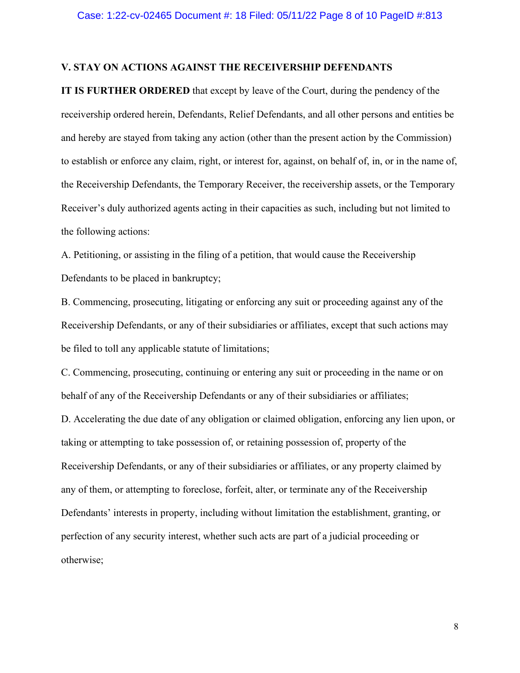### **V. STAY ON ACTIONS AGAINST THE RECEIVERSHIP DEFENDANTS**

**IT IS FURTHER ORDERED** that except by leave of the Court, during the pendency of the receivership ordered herein, Defendants, Relief Defendants, and all other persons and entities be and hereby are stayed from taking any action (other than the present action by the Commission) to establish or enforce any claim, right, or interest for, against, on behalf of, in, or in the name of, the Receivership Defendants, the Temporary Receiver, the receivership assets, or the Temporary Receiver's duly authorized agents acting in their capacities as such, including but not limited to the following actions:

A. Petitioning, or assisting in the filing of a petition, that would cause the Receivership Defendants to be placed in bankruptcy;

B. Commencing, prosecuting, litigating or enforcing any suit or proceeding against any of the Receivership Defendants, or any of their subsidiaries or affiliates, except that such actions may be filed to toll any applicable statute of limitations;

C. Commencing, prosecuting, continuing or entering any suit or proceeding in the name or on behalf of any of the Receivership Defendants or any of their subsidiaries or affiliates;

D. Accelerating the due date of any obligation or claimed obligation, enforcing any lien upon, or taking or attempting to take possession of, or retaining possession of, property of the Receivership Defendants, or any of their subsidiaries or affiliates, or any property claimed by any of them, or attempting to foreclose, forfeit, alter, or terminate any of the Receivership Defendants' interests in property, including without limitation the establishment, granting, or perfection of any security interest, whether such acts are part of a judicial proceeding or otherwise;

8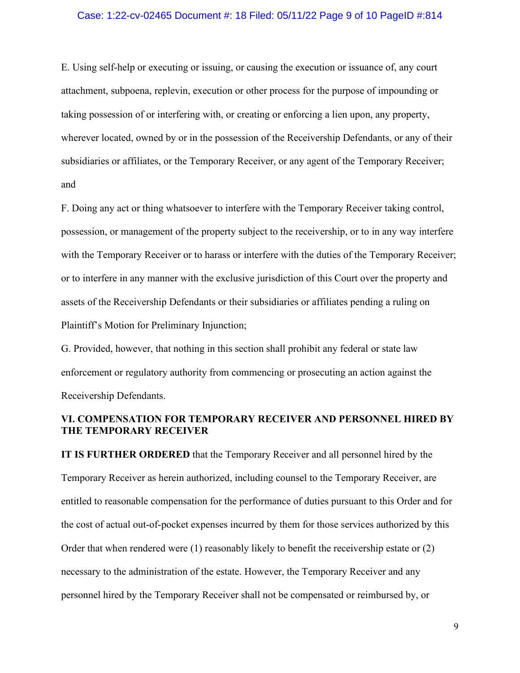### Case: 1:22-cv-02465 Document #: 18 Filed: 05/11/22 Page 9 of 10 PageID #:814

E. Using self-help or executing or issuing, or causing the execution or issuance of, any court attachment, subpoena, replevin, execution or other process for the purpose of impounding or taking possession of or interfering with, or creating or enforcing a lien upon, any property, wherever located, owned by or in the possession of the Receivership Defendants, or any of their subsidiaries or affiliates, or the Temporary Receiver, or any agent of the Temporary Receiver; and

F. Doing any act or thing whatsoever to interfere with the Temporary Receiver taking control, possession, or management of the property subject to the receivership, or to in any way interfere with the Temporary Receiver or to harass or interfere with the duties of the Temporary Receiver; or to interfere in any manner with the exclusive jurisdiction of this Court over the property and assets of the Receivership Defendants or their subsidiaries or affiliates pending a ruling on Plaintiff's Motion for Preliminary Injunction;

G. Provided, however, that nothing in this section shall prohibit any federal or state law enforcement or regulatory authority from commencing or prosecuting an action against the Receivership Defendants.

# **VI. COMPENSATION FOR TEMPORARY RECEIVER AND PERSONNEL HIRED BY THE TEMPORARY RECEIVER**

**IT IS FURTHER ORDERED** that the Temporary Receiver and all personnel hired by the Temporary Receiver as herein authorized, including counsel to the Temporary Receiver, are entitled to reasonable compensation for the performance of duties pursuant to this Order and for the cost of actual out-of-pocket expenses incurred by them for those services authorized by this Order that when rendered were (1) reasonably likely to benefit the receivership estate or (2) necessary to the administration of the estate. However, the Temporary Receiver and any personnel hired by the Temporary Receiver shall not be compensated or reimbursed by, or